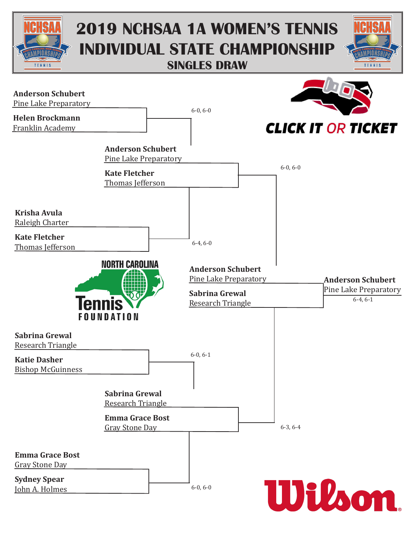